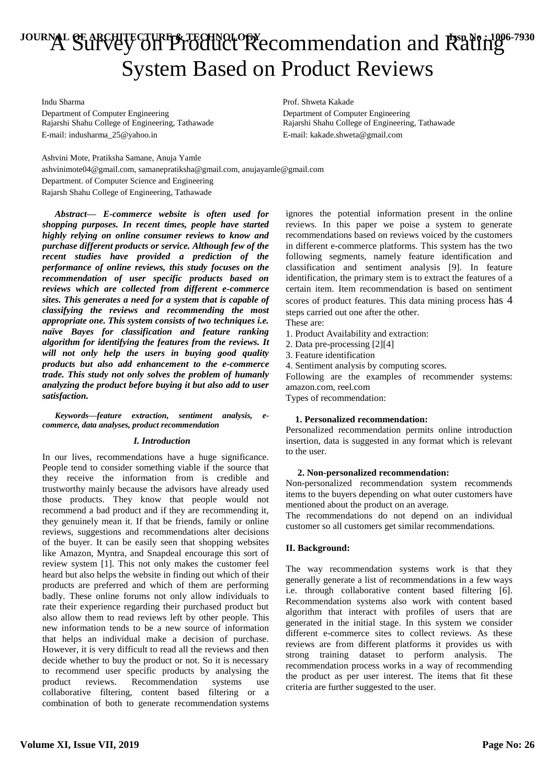# JOURNAL OF ARCHITECTURE & TECHNOLOGY<br>A Survey on Product Recommendation and Rating System Based on Product Reviews

Indu Sharma **Prof.** Shweta Kakade Rajarshi Shahu College of Engineering, Tathawade E-mail: indusharma\_25@yahoo.in E-mail: kakade.shweta@gmail.com

Department of Computer Engineering<br>
Rajarshi Shahu College of Engineering, Tathawade<br>
Rajarshi Shahu College of Engineering, Tathawade

Ashvini Mote, Pratiksha Samane, Anuja Yamle ashvinimote04@gmail.com, samanepratiksha@gmail.com, anujayamle@gmail.com Department. of Computer Science and Engineering Rajarsh Shahu College of Engineering, Tathawade

*Abstract***—** *E-commerce website is often used for shopping purposes. In recent times, people have started highly relying on online consumer reviews to know and purchase different products or service. Although few of the recent studies have provided a prediction of the performance of online reviews, this study focuses on the recommendation of user specific products based on reviews which are collected from different e-commerce sites. This generates a need for a system that is capable of classifying the reviews and recommending the most appropriate one. This system consists of two techniques i.e. naïve Bayes for classification and feature ranking algorithm for identifying the features from the reviews. It will not only help the users in buying good quality products but also add enhancement to the e-commerce trade. This study not only solves the problem of humanly analyzing the product before buying it but also add to user satisfaction.*

*Keywords—feature extraction, sentiment analysis, ecommerce, data analyses, product recommendation*

# *I. Introduction*

In our lives, recommendations have a huge significance. People tend to consider something viable if the source that they receive the information from is credible and trustworthy mainly because the advisors have already used those products. They know that people would not recommend a bad product and if they are recommending it, they genuinely mean it. If that be friends, family or online reviews, suggestions and recommendations alter decisions of the buyer. It can be easily seen that shopping websites like Amazon, Myntra, and Snapdeal encourage this sort of review system [1]. This not only makes the customer feel heard but also helps the website in finding out which of their products are preferred and which of them are performing badly. These online forums not only allow individuals to rate their experience regarding their purchased product but also allow them to read reviews left by other people. This new information tends to be a new source of information that helps an individual make a decision of purchase. However, it is very difficult to read all the reviews and then decide whether to buy the product or not. So it is necessary to recommend user specific products by analysing the product reviews. Recommendation systems use collaborative filtering, content based filtering or a combination of both to generate recommendation systems

ignores the potential information present in the online reviews. In this paper we poise a system to generate recommendations based on reviews voiced by the customers in different e-commerce platforms. This system has the two following segments, namely feature identification and classification and sentiment analysis [9]. In feature identification, the primary stem is to extract the features of a certain item. Item recommendation is based on sentiment scores of product features. This data mining process has 4 steps carried out one after the other.

- These are:
- 1. Product Availability and extraction:
- 2. Data pre-processing [2][4]
- 3. Feature identification
- 4. Sentiment analysis by computing scores.

Following are the examples of recommender systems: amazon.com, reel.com

Types of recommendation:

# **1. Personalized recommendation:**

Personalized recommendation permits online introduction insertion, data is suggested in any format which is relevant to the user.

#### **2. Non-personalized recommendation:**

Non-personalized recommendation system recommends items to the buyers depending on what outer customers have mentioned about the product on an average.

The recommendations do not depend on an individual customer so all customers get similar recommendations.

# **II. Background:**

The way recommendation systems work is that they generally generate a list of recommendations in a few ways i.e. through collaborative content based filtering [6]. Recommendation systems also work with content based algorithm that interact with profiles of users that are generated in the initial stage. In this system we consider different e-commerce sites to collect reviews. As these reviews are from different platforms it provides us with strong training dataset to perform analysis. The recommendation process works in a way of recommending the product as per user interest. The items that fit these criteria are further suggested to the user.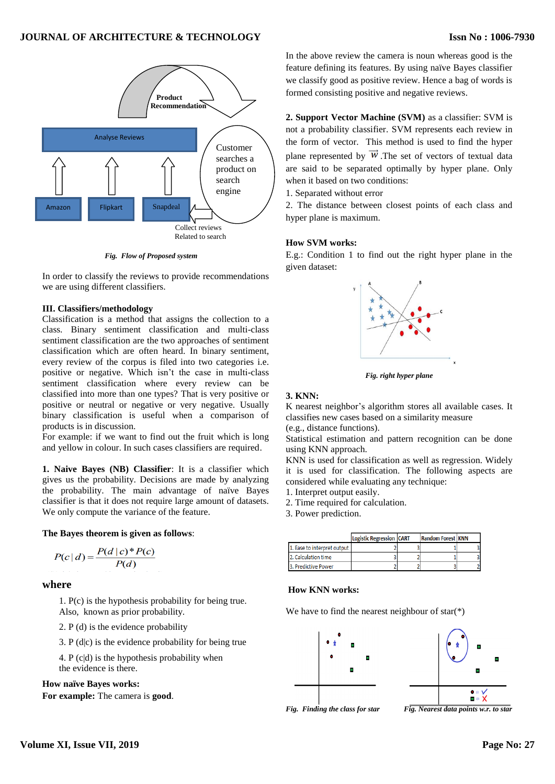

*Fig. Flow of Proposed system*

In order to classify the reviews to provide recommendations we are using different classifiers.

#### **III. Classifiers/methodology**

Classification is a method that assigns the collection to a class. Binary sentiment classification and multi-class sentiment classification are the two approaches of sentiment classification which are often heard. In binary sentiment, every review of the corpus is filed into two categories i.e. positive or negative. Which isn't the case in multi-class sentiment classification where every review can be classified into more than one types? That is very positive or positive or neutral or negative or very negative. Usually binary classification is useful when a comparison of products is in discussion.

For example: if we want to find out the fruit which is long and yellow in colour. In such cases classifiers are required.

**1. Naive Bayes (NB) Classifier**: It is a classifier which gives us the probability. Decisions are made by analyzing the probability. The main advantage of naïve Bayes classifier is that it does not require large amount of datasets. We only compute the variance of the feature.

#### **The Bayes theorem is given as follows**:

$$
P(c|d) = \frac{P(d|c)*P(c)}{P(d)}
$$

# **where**

1. P(c) is the hypothesis probability for being true. Also, known as prior probability.

2. P (d) is the evidence probability

3. P  $(d|c)$  is the evidence probability for being true

4. P (c|d) is the hypothesis probability when the evidence is there.

# **How naïve Bayes works:**

**For example:** The camera is **good**.

In the above review the camera is noun whereas good is the feature defining its features. By using naïve Bayes classifier we classify good as positive review. Hence a bag of words is formed consisting positive and negative reviews.

**2. Support Vector Machine (SVM)** as a classifier: SVM is not a probability classifier. SVM represents each review in the form of vector. This method is used to find the hyper plane represented by  $\overrightarrow{W}$ . The set of vectors of textual data are said to be separated optimally by hyper plane. Only when it based on two conditions:

1. Separated without error

2. The distance between closest points of each class and hyper plane is maximum.

# **How SVM works:**

E.g.: Condition 1 to find out the right hyper plane in the given dataset:



*Fig. right hyper plane*

#### **3. KNN:**

K nearest neighbor's algorithm stores all available cases. It classifies new cases based on a similarity measure

(e.g., distance functions).

Statistical estimation and pattern recognition can be done using KNN approach.

KNN is used for classification as well as regression. Widely it is used for classification. The following aspects are considered while evaluating any technique:

1. Interpret output easily.

2. Time required for calculation.

3. Power prediction.

|                             | Logistic Regression CART | <b>Random Forest KNN</b> |  |
|-----------------------------|--------------------------|--------------------------|--|
| 1. Ease to interpret output |                          |                          |  |
| 2. Calculation time         |                          |                          |  |
| 3. Predictive Power         |                          |                          |  |

# **How KNN works:**

We have to find the nearest neighbour of  $star(*)$ 



Fig. Finding the class for star

*Fig. Nearest data points w.r. to star*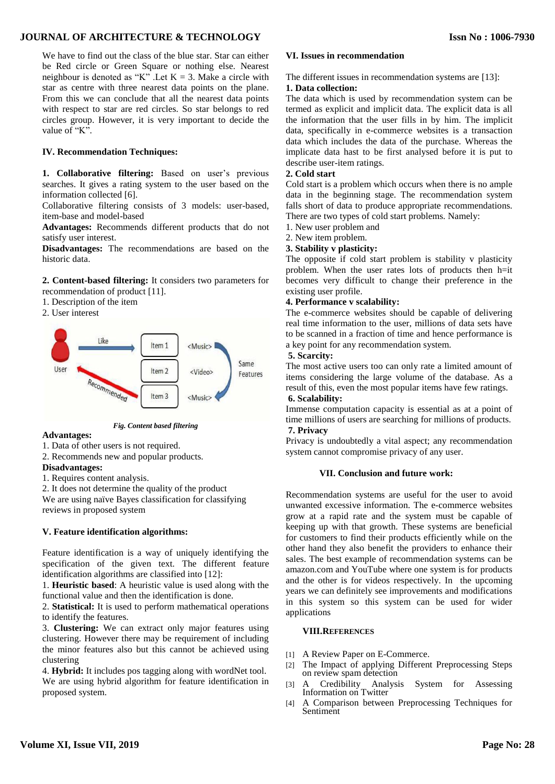# **JOURNAL OF ARCHITECTURE & TECHNOLOGY**

We have to find out the class of the blue star. Star can either be Red circle or Green Square or nothing else. Nearest neighbour is denoted as "K". Let  $K = 3$ . Make a circle with star as centre with three nearest data points on the plane. From this we can conclude that all the nearest data points with respect to star are red circles. So star belongs to red circles group. However, it is very important to decide the value of "K".

# **IV. Recommendation Techniques:**

**1. Collaborative filtering:** Based on user's previous searches. It gives a rating system to the user based on the information collected [6].

Collaborative filtering consists of 3 models: user-based, item-base and model-based

**Advantages:** Recommends different products that do not satisfy user interest.

**Disadvantages:** The recommendations are based on the historic data.

**2. Content-based filtering:** It considers two parameters for recommendation of product [11].

- 1. Description of the item
- 2. User interest



*Fig. Content based filtering*

**Advantages:**

1. Data of other users is not required.

2. Recommends new and popular products.

# **Disadvantages:**

1. Requires content analysis.

2. It does not determine the quality of the product

We are using naïve Bayes classification for classifying reviews in proposed system

# **V. Feature identification algorithms:**

Feature identification is a way of uniquely identifying the specification of the given text. The different feature identification algorithms are classified into [12]:

1. **Heuristic based**: A heuristic value is used along with the functional value and then the identification is done.

2. **Statistical:** It is used to perform mathematical operations to identify the features.

3. **Clustering:** We can extract only major features using clustering. However there may be requirement of including the minor features also but this cannot be achieved using clustering

4. **Hybrid:** It includes pos tagging along with wordNet tool. We are using hybrid algorithm for feature identification in proposed system.

# **VI. Issues in recommendation**

The different issues in recommendation systems are [13]:

#### **1. Data collection:**

The data which is used by recommendation system can be termed as explicit and implicit data. The explicit data is all the information that the user fills in by him. The implicit data, specifically in e-commerce websites is a transaction data which includes the data of the purchase. Whereas the implicate data hast to be first analysed before it is put to describe user-item ratings.

#### **2. Cold start**

Cold start is a problem which occurs when there is no ample data in the beginning stage. The recommendation system falls short of data to produce appropriate recommendations. There are two types of cold start problems. Namely:

1. New user problem and

2. New item problem.

#### **3. Stability v plasticity:**

The opposite if cold start problem is stability v plasticity problem. When the user rates lots of products then h=it becomes very difficult to change their preference in the existing user profile.

#### **4. Performance v scalability:**

The e-commerce websites should be capable of delivering real time information to the user, millions of data sets have to be scanned in a fraction of time and hence performance is a key point for any recommendation system.

# **5. Scarcity:**

The most active users too can only rate a limited amount of items considering the large volume of the database. As a result of this, even the most popular items have few ratings. **6. Scalability:**

# Immense computation capacity is essential as at a point of time millions of users are searching for millions of products. **7. Privacy**

Privacy is undoubtedly a vital aspect; any recommendation system cannot compromise privacy of any user.

# **VII. Conclusion and future work:**

Recommendation systems are useful for the user to avoid unwanted excessive information. The e-commerce websites grow at a rapid rate and the system must be capable of keeping up with that growth. These systems are beneficial for customers to find their products efficiently while on the other hand they also benefit the providers to enhance their sales. The best example of recommendation systems can be amazon.com and YouTube where one system is for products and the other is for videos respectively. In the upcoming years we can definitely see improvements and modifications in this system so this system can be used for wider applications

#### **VIII.REFERENCES**

- [1] A Review Paper on E-Commerce.
- [2] The Impact of applying Different Preprocessing Steps on review spam detection
- [3] A Credibility Analysis System for Assessing Information on Twitter
- [4] A Comparison between Preprocessing Techniques for Sentiment